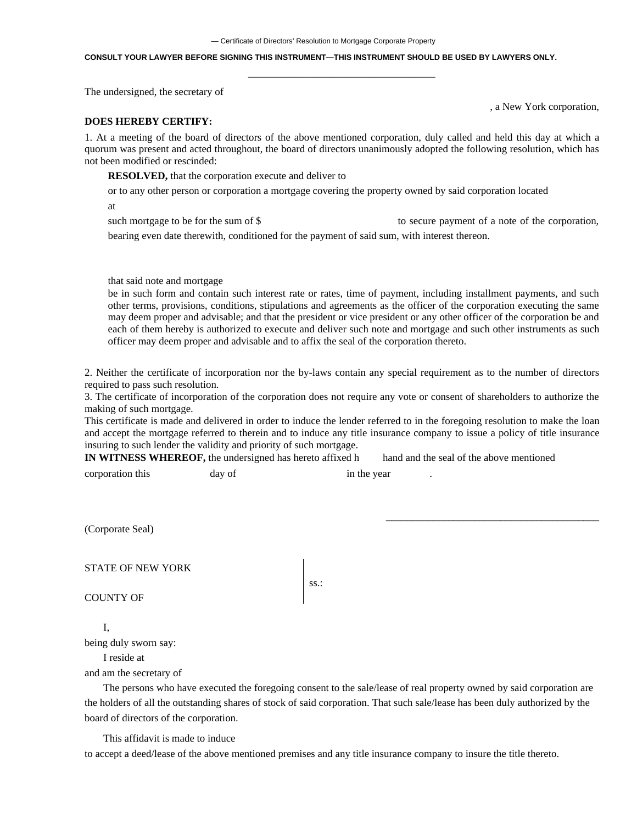#### **CONSULT YOUR LAWYER BEFORE SIGNING THIS INSTRUMENT—THIS INSTRUMENT SHOULD BE USED BY LAWYERS ONLY.**

The undersigned, the secretary of

, a New York corporation,

### **DOES HEREBY CERTIFY:**

1. At a meeting of the board of directors of the above mentioned corporation, duly called and held this day at which a quorum was present and acted throughout, the board of directors unanimously adopted the following resolution, which has not been modified or rescinded:

**——————————————————**

**RESOLVED,** that the corporation execute and deliver to

or to any other person or corporation a mortgage covering the property owned by said corporation located

at

such mortgage to be for the sum of \$ to secure payment of a note of the corporation,

bearing even date therewith, conditioned for the payment of said sum, with interest thereon.

## that said note and mortgage

be in such form and contain such interest rate or rates, time of payment, including installment payments, and such other terms, provisions, conditions, stipulations and agreements as the officer of the corporation executing the same may deem proper and advisable; and that the president or vice president or any other officer of the corporation be and each of them hereby is authorized to execute and deliver such note and mortgage and such other instruments as such officer may deem proper and advisable and to affix the seal of the corporation thereto.

2. Neither the certificate of incorporation nor the by-laws contain any special requirement as to the number of directors required to pass such resolution.

3. The certificate of incorporation of the corporation does not require any vote or consent of shareholders to authorize the making of such mortgage.

This certificate is made and delivered in order to induce the lender referred to in the foregoing resolution to make the loan and accept the mortgage referred to therein and to induce any title insurance company to issue a policy of title insurance insuring to such lender the validity and priority of such mortgage.

**IN WITNESS WHEREOF,** the undersigned has hereto affixed h hand and the seal of the above mentioned

corporation this day of in the year

\_\_\_\_\_\_\_\_\_\_\_\_\_\_\_\_\_\_\_\_\_\_\_\_\_\_\_\_\_\_\_\_\_\_\_\_\_\_\_\_\_

(Corporate Seal)

STATE OF NEW YORK

COUNTY OF

ss.:

# I,

being duly sworn say:

I reside at

and am the secretary of

The persons who have executed the foregoing consent to the sale/lease of real property owned by said corporation are the holders of all the outstanding shares of stock of said corporation. That such sale/lease has been duly authorized by the board of directors of the corporation.

This affidavit is made to induce

to accept a deed/lease of the above mentioned premises and any title insurance company to insure the title thereto.